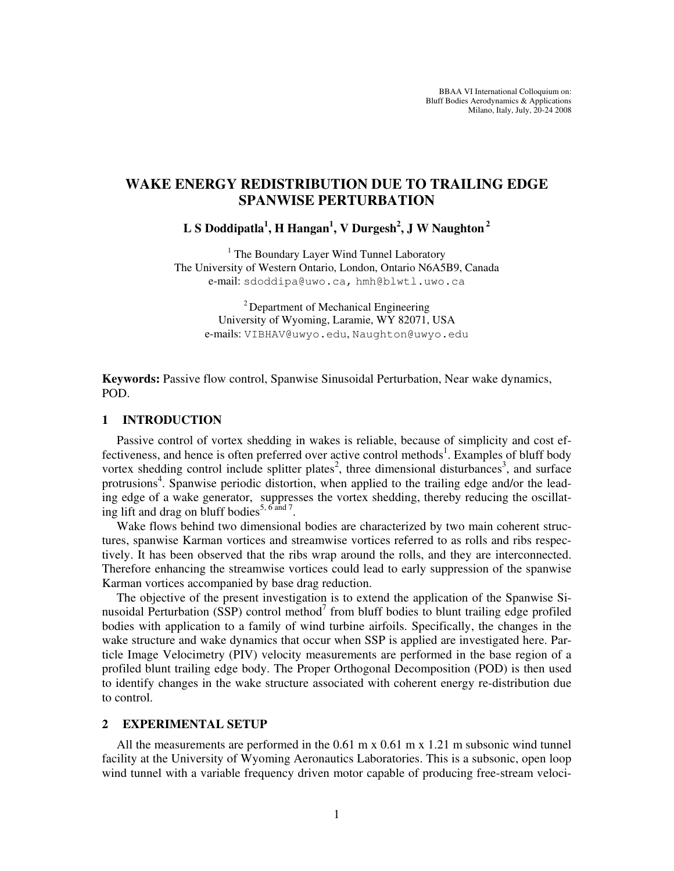# **WAKE ENERGY REDISTRIBUTION DUE TO TRAILING EDGE SPANWISE PERTURBATION**

**L S Doddipatla<sup>1</sup> , H Hangan<sup>1</sup> , V Durgesh<sup>2</sup> , J W Naughton<sup>2</sup>**

<sup>1</sup> The Boundary Layer Wind Tunnel Laboratory The University of Western Ontario, London, Ontario N6A5B9, Canada e-mail: sdoddipa@uwo.ca, hmh@blwtl.uwo.ca

<sup>2</sup> Department of Mechanical Engineering University of Wyoming, Laramie, WY 82071, USA e-mails: VIBHAV@uwyo.edu, Naughton@uwyo.edu

**Keywords:** Passive flow control, Spanwise Sinusoidal Perturbation, Near wake dynamics, POD.

## **1 INTRODUCTION**

Passive control of vortex shedding in wakes is reliable, because of simplicity and cost effectiveness, and hence is often preferred over active control methods<sup>1</sup>. Examples of bluff body vortex shedding control include splitter plates<sup>2</sup>, three dimensional disturbances<sup>3</sup>, and surface protrusions<sup>4</sup>. Spanwise periodic distortion, when applied to the trailing edge and/or the leading edge of a wake generator, suppresses the vortex shedding, thereby reducing the oscillating lift and drag on bluff bodies<sup>5, 6 and 7</sup>.

Wake flows behind two dimensional bodies are characterized by two main coherent structures, spanwise Karman vortices and streamwise vortices referred to as rolls and ribs respectively. It has been observed that the ribs wrap around the rolls, and they are interconnected. Therefore enhancing the streamwise vortices could lead to early suppression of the spanwise Karman vortices accompanied by base drag reduction.

The objective of the present investigation is to extend the application of the Spanwise Sinusoidal Perturbation (SSP) control method<sup>7</sup> from bluff bodies to blunt trailing edge profiled bodies with application to a family of wind turbine airfoils. Specifically, the changes in the wake structure and wake dynamics that occur when SSP is applied are investigated here. Particle Image Velocimetry (PIV) velocity measurements are performed in the base region of a profiled blunt trailing edge body. The Proper Orthogonal Decomposition (POD) is then used to identify changes in the wake structure associated with coherent energy re-distribution due to control.

#### **2 EXPERIMENTAL SETUP**

All the measurements are performed in the  $0.61 \text{ m} \times 0.61 \text{ m} \times 1.21 \text{ m}$  subsonic wind tunnel facility at the University of Wyoming Aeronautics Laboratories. This is a subsonic, open loop wind tunnel with a variable frequency driven motor capable of producing free-stream veloci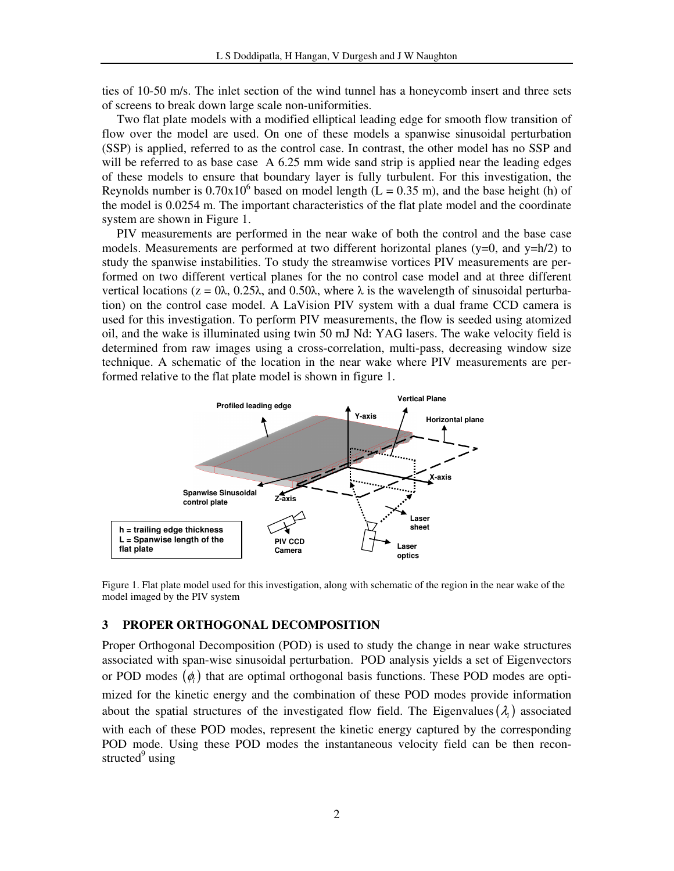ties of 10-50 m/s. The inlet section of the wind tunnel has a honeycomb insert and three sets of screens to break down large scale non-uniformities.

Two flat plate models with a modified elliptical leading edge for smooth flow transition of flow over the model are used. On one of these models a spanwise sinusoidal perturbation (SSP) is applied, referred to as the control case. In contrast, the other model has no SSP and will be referred to as base case A 6.25 mm wide sand strip is applied near the leading edges of these models to ensure that boundary layer is fully turbulent. For this investigation, the Reynolds number is  $0.70 \times 10^6$  based on model length (L = 0.35 m), and the base height (h) of the model is 0.0254 m. The important characteristics of the flat plate model and the coordinate system are shown in Figure 1.

PIV measurements are performed in the near wake of both the control and the base case models. Measurements are performed at two different horizontal planes (y=0, and y=h/2) to study the spanwise instabilities. To study the streamwise vortices PIV measurements are performed on two different vertical planes for the no control case model and at three different vertical locations ( $z = 0\lambda$ , 0.25 $\lambda$ , and 0.50 $\lambda$ , where  $\lambda$  is the wavelength of sinusoidal perturbation) on the control case model. A LaVision PIV system with a dual frame CCD camera is used for this investigation. To perform PIV measurements, the flow is seeded using atomized oil, and the wake is illuminated using twin 50 mJ Nd: YAG lasers. The wake velocity field is determined from raw images using a cross-correlation, multi-pass, decreasing window size technique. A schematic of the location in the near wake where PIV measurements are performed relative to the flat plate model is shown in figure 1.



Figure 1. Flat plate model used for this investigation, along with schematic of the region in the near wake of the model imaged by the PIV system

### **3 PROPER ORTHOGONAL DECOMPOSITION**

Proper Orthogonal Decomposition (POD) is used to study the change in near wake structures associated with span-wise sinusoidal perturbation. POD analysis yields a set of Eigenvectors or POD modes  $(\phi_i)$  that are optimal orthogonal basis functions. These POD modes are optimized for the kinetic energy and the combination of these POD modes provide information about the spatial structures of the investigated flow field. The Eigenvalues  $(\lambda_i)$  associated with each of these POD modes, represent the kinetic energy captured by the corresponding POD mode. Using these POD modes the instantaneous velocity field can be then reconstructed<sup>9</sup> using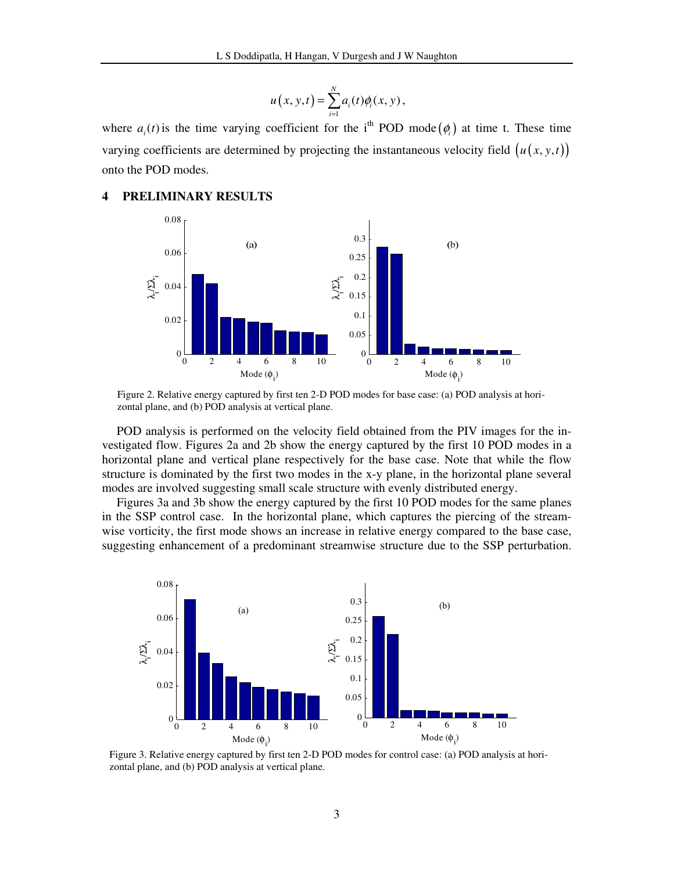$$
u(x, y, t) = \sum_{i=1}^{N} a_i(t) \phi_i(x, y),
$$

where  $a_i(t)$  is the time varying coefficient for the i<sup>th</sup> POD mode  $(\phi_i)$  at time t. These time varying coefficients are determined by projecting the instantaneous velocity field  $(u(x, y, t))$ onto the POD modes.

## **4 PRELIMINARY RESULTS**



Figure 2. Relative energy captured by first ten 2-D POD modes for base case: (a) POD analysis at horizontal plane, and (b) POD analysis at vertical plane.

POD analysis is performed on the velocity field obtained from the PIV images for the investigated flow. Figures 2a and 2b show the energy captured by the first 10 POD modes in a horizontal plane and vertical plane respectively for the base case. Note that while the flow structure is dominated by the first two modes in the x-y plane, in the horizontal plane several modes are involved suggesting small scale structure with evenly distributed energy.

Figures 3a and 3b show the energy captured by the first 10 POD modes for the same planes in the SSP control case. In the horizontal plane, which captures the piercing of the streamwise vorticity, the first mode shows an increase in relative energy compared to the base case, suggesting enhancement of a predominant streamwise structure due to the SSP perturbation.



Figure 3. Relative energy captured by first ten 2-D POD modes for control case: (a) POD analysis at horizontal plane, and (b) POD analysis at vertical plane.